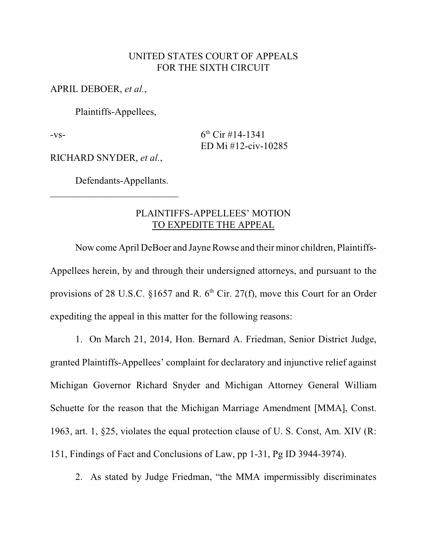## UNITED STATES COURT OF APPEALS FOR THE SIXTH CIRCUIT

APRIL DEBOER, *et al.*,

Plaintiffs-Appellees,

 $-vs-$  6<sup>th</sup> Cir #14-1341 ED Mi #12-civ-10285

RICHARD SNYDER, *et al.*,

Defendants-Appellants.

 $\mathcal{L}_\text{max}$  , where  $\mathcal{L}_\text{max}$  , we have the set of the set of the set of the set of the set of the set of the set of the set of the set of the set of the set of the set of the set of the set of the set of the set of

## PLAINTIFFS-APPELLEES' MOTION TO EXPEDITE THE APPEAL

Now come April DeBoer and Jayne Rowse and their minor children, Plaintiffs-Appellees herein, by and through their undersigned attorneys, and pursuant to the provisions of 28 U.S.C. §1657 and R.  $6<sup>th</sup>$  Cir. 27(f), move this Court for an Order expediting the appeal in this matter for the following reasons:

1. On March 21, 2014, Hon. Bernard A. Friedman, Senior District Judge, granted Plaintiffs-Appellees' complaint for declaratory and injunctive relief against Michigan Governor Richard Snyder and Michigan Attorney General William Schuette for the reason that the Michigan Marriage Amendment [MMA], Const. 1963, art. 1, §25, violates the equal protection clause of U. S. Const, Am. XIV (R: 151, Findings of Fact and Conclusions of Law, pp 1-31, Pg ID 3944-3974).

2. As stated by Judge Friedman, "the MMA impermissibly discriminates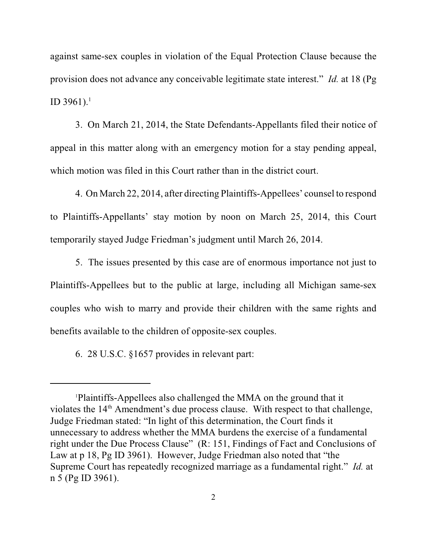against same-sex couples in violation of the Equal Protection Clause because the provision does not advance any conceivable legitimate state interest." *Id.* at 18 (Pg ID 3961).<sup>1</sup>

3. On March 21, 2014, the State Defendants-Appellants filed their notice of appeal in this matter along with an emergency motion for a stay pending appeal, which motion was filed in this Court rather than in the district court.

4. On March 22, 2014, after directing Plaintiffs-Appellees' counsel to respond to Plaintiffs-Appellants' stay motion by noon on March 25, 2014, this Court temporarily stayed Judge Friedman's judgment until March 26, 2014.

5. The issues presented by this case are of enormous importance not just to Plaintiffs-Appellees but to the public at large, including all Michigan same-sex couples who wish to marry and provide their children with the same rights and benefits available to the children of opposite-sex couples.

6. 28 U.S.C. §1657 provides in relevant part:

Plaintiffs-Appellees also challenged the MMA on the ground that it 1 violates the  $14<sup>th</sup>$  Amendment's due process clause. With respect to that challenge, Judge Friedman stated: "In light of this determination, the Court finds it unnecessary to address whether the MMA burdens the exercise of a fundamental right under the Due Process Clause" (R: 151, Findings of Fact and Conclusions of Law at p 18, Pg ID 3961). However, Judge Friedman also noted that "the Supreme Court has repeatedly recognized marriage as a fundamental right." *Id.* at n 5 (Pg ID 3961).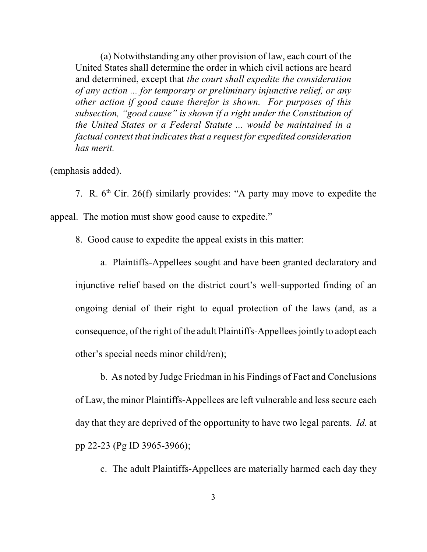(a) Notwithstanding any other provision of law, each court of the United States shall determine the order in which civil actions are heard and determined, except that *the court shall expedite the consideration of any action ... for temporary or preliminary injunctive relief, or any other action if good cause therefor is shown. For purposes of this subsection, "good cause" is shown if a right under the Constitution of the United States or a Federal Statute ... would be maintained in a factual context that indicates that a request for expedited consideration has merit.*

## (emphasis added).

7. R.  $6<sup>th</sup>$  Cir. 26(f) similarly provides: "A party may move to expedite the appeal. The motion must show good cause to expedite."

8. Good cause to expedite the appeal exists in this matter:

a. Plaintiffs-Appellees sought and have been granted declaratory and injunctive relief based on the district court's well-supported finding of an ongoing denial of their right to equal protection of the laws (and, as a consequence, of the right of the adult Plaintiffs-Appellees jointly to adopt each other's special needs minor child/ren);

b. As noted by Judge Friedman in his Findings of Fact and Conclusions of Law, the minor Plaintiffs-Appellees are left vulnerable and less secure each day that they are deprived of the opportunity to have two legal parents. *Id.* at pp 22-23 (Pg ID 3965-3966);

c. The adult Plaintiffs-Appellees are materially harmed each day they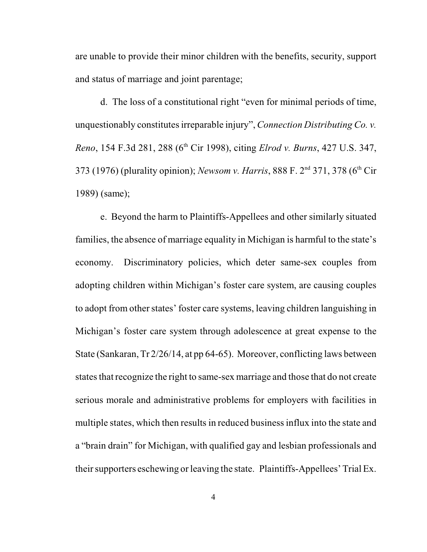are unable to provide their minor children with the benefits, security, support and status of marriage and joint parentage;

d. The loss of a constitutional right "even for minimal periods of time, unquestionably constitutes irreparable injury", *Connection Distributing Co. v. Reno*, 154 F.3d 281, 288 (6<sup>th</sup> Cir 1998), citing *Elrod v. Burns*, 427 U.S. 347, 373 (1976) (plurality opinion); *Newsom v. Harris*, 888 F. 2<sup>nd</sup> 371, 378 (6<sup>th</sup> Cir 1989) (same);

e. Beyond the harm to Plaintiffs-Appellees and other similarly situated families, the absence of marriage equality in Michigan is harmful to the state's economy. Discriminatory policies, which deter same-sex couples from adopting children within Michigan's foster care system, are causing couples to adopt from other states' foster care systems, leaving children languishing in Michigan's foster care system through adolescence at great expense to the State (Sankaran,Tr 2/26/14, at pp 64-65). Moreover, conflicting laws between states that recognize the right to same-sex marriage and those that do not create serious morale and administrative problems for employers with facilities in multiple states, which then results in reduced business influx into the state and a "brain drain" for Michigan, with qualified gay and lesbian professionals and their supporters eschewing or leaving the state. Plaintiffs-Appellees' Trial Ex.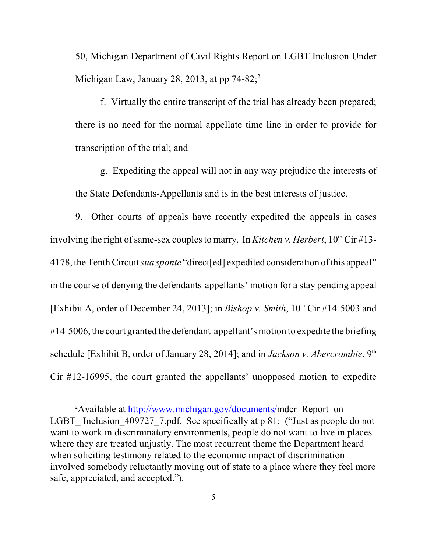50, Michigan Department of Civil Rights Report on LGBT Inclusion Under Michigan Law, January 28, 2013, at pp  $74-82$ ;<sup>2</sup>

f. Virtually the entire transcript of the trial has already been prepared; there is no need for the normal appellate time line in order to provide for transcription of the trial; and

g. Expediting the appeal will not in any way prejudice the interests of the State Defendants-Appellants and is in the best interests of justice.

9. Other courts of appeals have recently expedited the appeals in cases involving the right of same-sex couples to marry. In *Kitchen v. Herbert*, 10<sup>th</sup> Cir #13-4178, theTenth Circuit *sua sponte* "direct[ed] expedited consideration of this appeal" in the course of denying the defendants-appellants' motion for a stay pending appeal [Exhibit A, order of December 24, 2013]; in *Bishop v. Smith*,  $10^{th}$  Cir #14-5003 and #14-5006, the court granted the defendant-appellant's motion to expedite the briefing schedule [Exhibit B, order of January 28, 2014]; and in *Jackson v. Abercrombie*, 9<sup>th</sup> Cir #12-16995, the court granted the appellants' unopposed motion to expedite

<sup>&</sup>lt;sup>2</sup> Available at <http://www.michigan.gov/documents/>mdcr\_Report\_on LGBT Inclusion 409727 7.pdf. See specifically at p 81: ("Just as people do not want to work in discriminatory environments, people do not want to live in places where they are treated unjustly. The most recurrent theme the Department heard when soliciting testimony related to the economic impact of discrimination involved somebody reluctantly moving out of state to a place where they feel more safe, appreciated, and accepted.").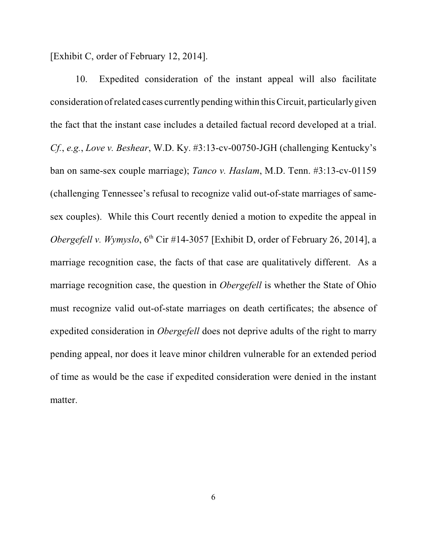[Exhibit C, order of February 12, 2014].

10. Expedited consideration of the instant appeal will also facilitate consideration of related cases currently pending within this Circuit, particularly given the fact that the instant case includes a detailed factual record developed at a trial. *Cf.*, *e.g.*, *Love v. Beshear*, W.D. Ky. #3:13-cv-00750-JGH (challenging Kentucky's ban on same-sex couple marriage); *Tanco v. Haslam*, M.D. Tenn. #3:13-cv-01159 (challenging Tennessee's refusal to recognize valid out-of-state marriages of samesex couples). While this Court recently denied a motion to expedite the appeal in *Obergefell v. Wymyslo*, 6<sup>th</sup> Cir #14-3057 [Exhibit D, order of February 26, 2014], a marriage recognition case, the facts of that case are qualitatively different. As a marriage recognition case, the question in *Obergefell* is whether the State of Ohio must recognize valid out-of-state marriages on death certificates; the absence of expedited consideration in *Obergefell* does not deprive adults of the right to marry pending appeal, nor does it leave minor children vulnerable for an extended period of time as would be the case if expedited consideration were denied in the instant matter.